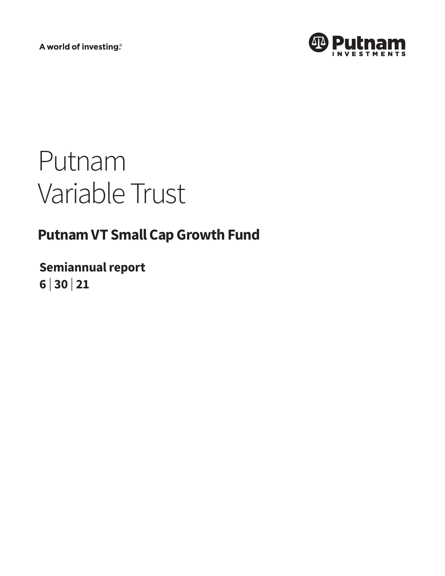A world of investing®



# Putnam Variable Trust

# **Putnam VT Small Cap Growth Fund**

**Semiannual report 6 <sup>|</sup> 30 <sup>|</sup> 21**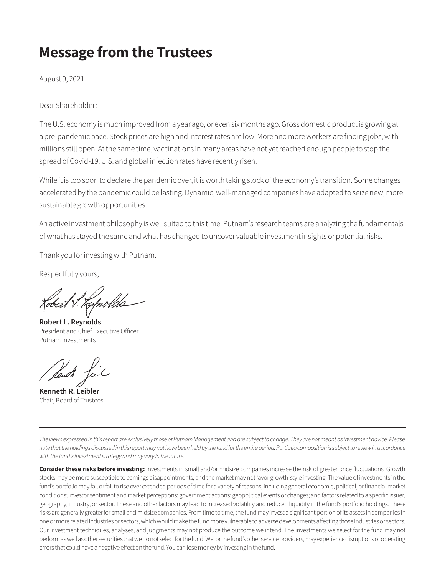# **Message from the Trustees**

August 9, 2021

Dear Shareholder:

The U.S. economy is much improved from a year ago, or even six months ago. Gross domestic product is growing at a pre-pandemic pace. Stock prices are high and interest rates are low. More and more workers are finding jobs, with millions still open. At the same time, vaccinations in many areas have not yet reached enough people to stop the spread of Covid-19. U.S. and global infection rates have recently risen.

While it is too soon to declare the pandemic over, it is worth taking stock of the economy's transition. Some changes accelerated by the pandemic could be lasting. Dynamic, well-managed companies have adapted to seize new, more sustainable growth opportunities.

An active investment philosophy is well suited to this time. Putnam's research teams are analyzing the fundamentals of what has stayed the same and what has changed to uncover valuable investment insights or potential risks.

Thank you for investing with Putnam.

Respectfully yours,

**Robert L. Reynolds** President and Chief Executive Officer Putnam Investments

**Kenneth R. Leibler** Chair, Board of Trustees

*The views expressed in this report are exclusively those of Putnam Management and are subject to change. They are not meant as investment advice. Please note that the holdings discussed in this report may not have been held by the fund for the entire period. Portfolio composition is subject to review in accordance with the fund's investment strategy and may vary in the future.*

**Consider these risks before investing:** Investments in small and/or midsize companies increase the risk of greater price fluctuations. Growth stocks may be more susceptible to earnings disappointments, and the market may not favor growth-style investing. The value of investments in the fund's portfolio may fall or fail to rise over extended periods of time for a variety of reasons, including general economic, political, or financial market conditions; investor sentiment and market perceptions; government actions; geopolitical events or changes; and factors related to a specific issuer, geography, industry, or sector. These and other factors may lead to increased volatility and reduced liquidity in the fund's portfolio holdings. These risks are generally greater for small and midsize companies. From time to time, the fund may invest a significant portion of its assets in companies in one or more related industries or sectors, which would make the fund more vulnerable to adverse developments affecting those industries or sectors. Our investment techniques, analyses, and judgments may not produce the outcome we intend. The investments we select for the fund may not perform as well as other securities that we do not select for the fund. We, or the fund's other service providers, may experience disruptions or operating errors that could have a negative effect on the fund. You can lose money by investing in the fund.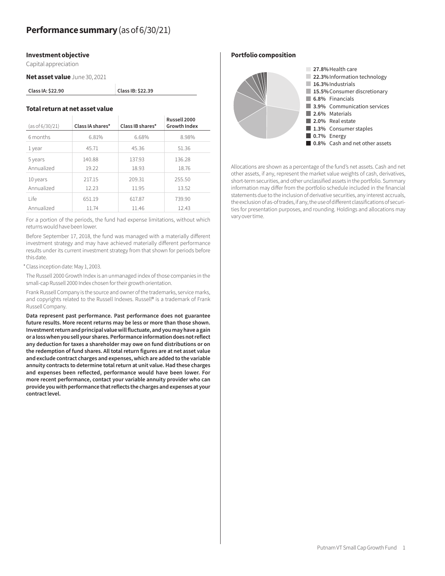#### **Investment objective**

Capital appreciation

**Net asset value** June 30, 2021

| Class IA: \$22.90 |  |
|-------------------|--|
|-------------------|--|

#### **Total return at net asset value**

| (as of 6/30/21) | Class IA shares* | Class IB shares* | Russell 2000<br><b>Growth Index</b> |
|-----------------|------------------|------------------|-------------------------------------|
| 6 months        | 6.81%            | 6.68%            | 8.98%                               |
| 1 year          | 45.71            | 45.36            | 51.36                               |
| 5 years         | 140.88           | 137.93           | 136.28                              |
| Annualized      | 19.22            | 18.93            | 18.76                               |
| 10 years        | 217.15           | 209.31           | 255.50                              |
| Annualized      | 12.23            | 11.95            | 13.52                               |
| l ife           | 651.19           | 617.87           | 739.90                              |
| Annualized      | 11.74            | 11.46            | 12.43                               |

**Class IA: \$22.90 Class IB: \$22.39**

For a portion of the periods, the fund had expense limitations, without which returns would have been lower.

Before September 17, 2018, the fund was managed with a materially different investment strategy and may have achieved materially different performance results under its current investment strategy from that shown for periods before this date.

\*Class inception date: May 1, 2003.

The Russell 2000 Growth Index is an unmanaged index of those companies in the small-cap Russell 2000 Index chosen for their growth orientation.

Frank Russell Company is the source and owner of the trademarks, service marks, and copyrights related to the Russell Indexes. Russell® is a trademark of Frank Russell Company.

**Data represent past performance. Past performance does not guarantee future results. More recent returns may be less or more than those shown. Investment return and principal value will fluctuate, and you may have a gain or a loss when you sell your shares. Performance information does not reflect any deduction for taxes a shareholder may owe on fund distributions or on the redemption of fund shares. All total return figures are at net asset value and exclude contract charges and expenses, which are added to the variable annuity contracts to determine total return at unit value. Had these charges and expenses been reflected, performance would have been lower. For more recent performance, contact your variable annuity provider who can provide you with performance that reflects the charges and expenses at your contract level.**

#### **Portfolio composition**



Allocations are shown as a percentage of the fund's net assets. Cash and net other assets, if any, represent the market value weights of cash, derivatives, short-term securities, and other unclassified assets in the portfolio. Summary information may differ from the portfolio schedule included in the financial statements due to the inclusion of derivative securities, any interest accruals, the exclusion of as-of trades, if any, the use of different classifications of securities for presentation purposes, and rounding. Holdings and allocations may vary over time.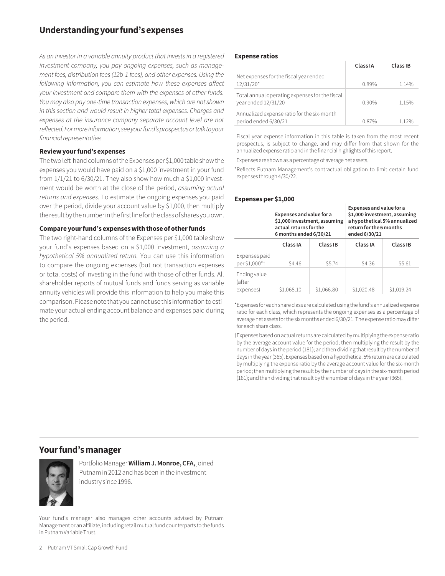# **Understanding your fund's expenses**

*As an investor in a variable annuity product that invests in a registered investment company, you pay ongoing expenses, such as management fees, distribution fees (12b-1 fees), and other expenses. Using the following information, you can estimate how these expenses affect your investment and compare them with the expenses of other funds. You may also pay one-time transaction expenses, which are not shown in this section and would result in higher total expenses. Charges and*  expenses at the insurance company separate account level are not *reflected. For more information, see your fund's prospectus or talk to your financial representative.*

#### **Review your fund's expenses**

The two left-hand columns of the Expenses per \$1,000 table show the expenses you would have paid on a \$1,000 investment in your fund from  $1/1/21$  to  $6/30/21$ . They also show how much a \$1,000 investment would be worth at the close of the period, *assuming actual returns and expenses.* To estimate the ongoing expenses you paid over the period, divide your account value by \$1,000, then multiply the result by the number in the first line for the class of shares you own.

#### **Compare your fund's expenses with those of other funds**

The two right-hand columns of the Expenses per \$1,000 table show your fund's expenses based on a \$1,000 investment, *assuming a hypothetical 5% annualized return.* You can use this information to compare the ongoing expenses (but not transaction expenses or total costs) of investing in the fund with those of other funds. All shareholder reports of mutual funds and funds serving as variable annuity vehicles will provide this information to help you make this comparison. Please note that you cannot use this information to estimate your actual ending account balance and expenses paid during the period.

#### **Expense ratios**

|                                                                       | Class IA | Class IB |
|-----------------------------------------------------------------------|----------|----------|
| Net expenses for the fiscal year ended<br>$12/31/20*$                 | 0.89%    | 1.14%    |
| Total annual operating expenses for the fiscal<br>year ended 12/31/20 | 0.90%    | 1.15%    |
| Annualized expense ratio for the six-month<br>period ended 6/30/21    | 0.87%    | 1 1 2 %  |

Fiscal year expense information in this table is taken from the most recent prospectus, is subject to change, and may differ from that shown for the annualized expense ratio and in the financial highlights of this report.

Expenses are shown as a percentage of average net assets.

\*Reflects Putnam Management's contractual obligation to limit certain fund expenses through 4/30/22.

#### **Expenses per \$1,000**

|                                     | Expenses and value for a<br>\$1,000 investment, assuming<br>actual returns for the<br>6 months ended 6/30/21 |            | <b>Expenses and value for a</b><br>\$1,000 investment, assuming<br>a hypothetical 5% annualized<br>return for the 6 months<br>ended 6/30/21 |            |
|-------------------------------------|--------------------------------------------------------------------------------------------------------------|------------|---------------------------------------------------------------------------------------------------------------------------------------------|------------|
|                                     | Class IA                                                                                                     | Class IB   | Class IA                                                                                                                                    | Class IB   |
| Expenses paid<br>per \$1,000*†      | \$4.46                                                                                                       | \$5.74     | \$4.36                                                                                                                                      | \$5.61     |
| Ending value<br>(after<br>expenses) | \$1,068.10                                                                                                   | \$1,066.80 | \$1,020.48                                                                                                                                  | \$1,019.24 |

\*Expenses for each share class are calculated using the fund's annualized expense ratio for each class, which represents the ongoing expenses as a percentage of average net assets for the six months ended 6/30/21. The expense ratio may differ for each share class.

†Expenses based on actual returns are calculated by multiplying the expense ratio by the average account value for the period; then multiplying the result by the number of days in the period (181); and then dividing that result by the number of days in the year (365). Expenses based on a hypothetical 5% return are calculated by multiplying the expense ratio by the average account value for the six-month period; then multiplying the result by the number of days in the six-month period (181); and then dividing that result by the number of days in the year (365).

### **Your fund's manager**



Portfolio Manager **William J. Monroe, CFA,** joined Putnam in 2012 and has been in the investment industry since 1996.

Your fund's manager also manages other accounts advised by Putnam Management or an affiliate, including retail mutual fund counterparts to the funds in Putnam Variable Trust.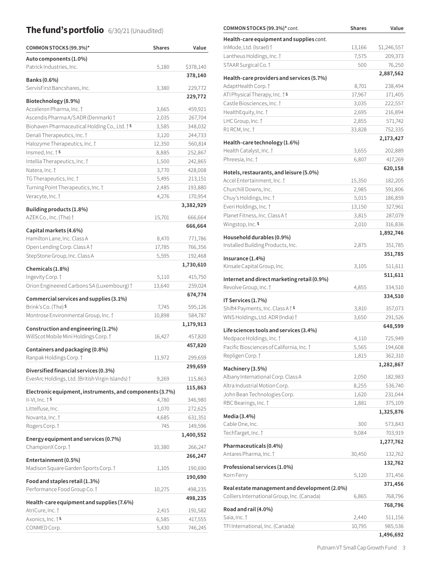# **The fund's portfolio** 6/30/21 (Unaudited)

| COMMON STOCKS (99.3%)*                                       | <b>Shares</b>   | Value              |
|--------------------------------------------------------------|-----------------|--------------------|
| Auto components (1.0%)                                       |                 |                    |
| Patrick Industries, Inc.                                     | 5,180           | \$378,140          |
| Banks (0.6%)                                                 |                 | 378,140            |
| ServisFirst Bancshares, Inc.                                 | 3,380           | 229,772            |
|                                                              |                 | 229,772            |
| Biotechnology (8.9%)                                         |                 |                    |
| Acceleron Pharma, Inc. 1                                     | 3,665           | 459,921            |
| Ascendis Pharma A/S ADR (Denmark) †                          | 2,035           | 267,704            |
| Biohaven Pharmaceutical Holding Co., Ltd.   \$               | 3,585           | 348,032            |
| Denali Therapeutics, Inc. 1<br>Halozyme Therapeutics, Inc. 1 | 3,120<br>12,350 | 244,733<br>560,814 |
| Insmed, Inc.   \$                                            | 8,885           | 252,867            |
| Intellia Therapeutics, Inc. 1                                | 1,500           | 242,865            |
| Natera, Inc. †                                               | 3,770           | 428,008            |
| TG Therapeutics, Inc. †                                      | 5,495           | 213,151            |
| Turning Point Therapeutics, Inc. †                           | 2,485           | 193,880            |
| Veracyte, Inc. †                                             | 4,276           | 170,954            |
|                                                              |                 | 3,382,929          |
| Building products (1.8%)                                     |                 |                    |
| AZEK Co., Inc. (The) †                                       | 15,701          | 666,664            |
| Capital markets (4.6%)                                       |                 | 666,664            |
| Hamilton Lane, Inc. Class A                                  | 8,470           | 771,786            |
| Open Lending Corp. Class A †                                 | 17,785          | 766,356            |
| StepStone Group, Inc. Class A                                | 5,595           | 192,468            |
|                                                              |                 | 1,730,610          |
| Chemicals (1.8%)<br>Ingevity Corp. †                         | 5,110           | 415,750            |
| Orion Engineered Carbons SA (Luxembourg) †                   | 13,640          | 259,024            |
|                                                              |                 | 674,774            |
| Commercial services and supplies (3.1%)                      |                 |                    |
| Brink's Co. (The) S                                          | 7,745           | 595,126            |
| Montrose Environmental Group, Inc. †                         | 10,898          | 584,787            |
| Construction and engineering (1.2%)                          |                 | 1,179,913          |
| WillScot Mobile Mini Holdings Corp. †                        | 16,427          | 457,820            |
| Containers and packaging (0.8%)                              |                 | 457,820            |
| Ranpak Holdings Corp. †                                      | 11,972          | 299,659            |
|                                                              |                 | 299,659            |
| Diversified financial services (0.3%)                        |                 |                    |
| EverArc Holdings, Ltd. (British Virgin Islands) †            | 9,269           | 115,863            |
| Electronic equipment, instruments, and components (3.7%)     |                 | 115,863            |
| $II-VI, Inc.$ † $S$                                          | 4,780           | 346,980            |
| Littelfuse, Inc.                                             | 1,070           | 272,625            |
| Novanta, Inc. †                                              | 4,685           | 631,351            |
| Rogers Corp. <sup>†</sup>                                    | 745             | 149,596            |
| Energy equipment and services (0.7%)                         |                 | 1,400,552          |
| ChampionX Corp. †                                            | 10,380          | 266,247            |
|                                                              |                 | 266,247            |
| Entertainment (0.5%)                                         |                 |                    |
| Madison Square Garden Sports Corp. †                         | 1,105           | 190,690            |
| Food and staples retail (1.3%)                               |                 | 190,690            |
| Performance Food Group Co. †                                 | 10,275          | 498,235            |
| Health-care equipment and supplies (7.6%)                    |                 | 498,235            |
| AtriCure, Inc. †                                             | 2,415           | 191,582            |
| Axonics, Inc. † S                                            | 6,585           | 417,555            |
| CONMED Corp.                                                 | 5,430           | 746,245            |
|                                                              |                 |                    |

| COMMON STOCKS (99.3%)* cont.                  | <b>Shares</b>   | Value                |
|-----------------------------------------------|-----------------|----------------------|
| Health-care equipment and supplies cont.      |                 |                      |
| InMode, Ltd. (Israel) †                       | 13,166          | \$1,246,557          |
| Lantheus Holdings, Inc. 1                     | 7,575           | 209,373              |
| STAAR Surgical Co. †                          | 500             | 76,250               |
|                                               |                 | 2,887,562            |
| Health-care providers and services (5.7%)     |                 |                      |
| AdaptHealth Corp.                             | 8,701           | 238,494              |
| ATI Physical Therapy, Inc. $\dagger$ S        | 17,967          | 171,405              |
| Castle Biosciences, Inc. †                    | 3,035           | 222,557              |
| HealthEquity, Inc. †                          | 2,695           | 216,894              |
| LHC Group, Inc. †<br>R1RCM, Inc. †            | 2,855<br>33,828 | 571,742              |
|                                               |                 | 752,335<br>2,173,427 |
| Health-care technology (1.6%)                 |                 |                      |
| Health Catalyst, Inc. 1                       | 3,655           | 202,889              |
| Phreesia, Inc. †                              | 6,807           | 417,269              |
| Hotels, restaurants, and leisure (5.0%)       |                 | 620,158              |
| Accel Entertainment, Inc. 1                   | 15,350          | 182,205              |
| Churchill Downs, Inc.                         | 2,985           | 591,806              |
| Chuy's Holdings, Inc. 1                       | 5,015           | 186,859              |
| Everi Holdings, Inc. †                        | 13,150          | 327,961              |
| Planet Fitness, Inc. Class A                  | 3,815           | 287,079              |
| Wingstop, Inc. S                              | 2,010           | 316,836              |
|                                               |                 | 1,892,746            |
| Household durables (0.9%)                     |                 |                      |
| Installed Building Products, Inc.             | 2,875           | 351,785<br>351,785   |
| Insurance (1.4%)                              |                 |                      |
| Kinsale Capital Group, Inc.                   | 3,105           | 511,611              |
| Internet and direct marketing retail (0.9%)   |                 | 511,611              |
| Revolve Group, Inc. t                         | 4,855           | 334,510              |
|                                               |                 | 334,510              |
| IT Services (1.7%)                            |                 |                      |
| Shift4 Payments, Inc. Class A   S             | 3,810           | 357,073              |
| WNS Holdings, Ltd. ADR (India) †              | 3,650           | 291,526              |
| Life sciences tools and services (3.4%)       |                 | 648,599              |
| Medpace Holdings, Inc. 1                      | 4,110           | 725,949              |
| Pacific Biosciences of California, Inc. 1     | 5,565           | 194,608              |
| Repligen Corp. †                              | 1,815           | 362,310              |
| Machinery (3.5%)                              |                 | 1,282,867            |
| Albany International Corp. Class A            | 2,050           | 182,983              |
| Altra Industrial Motion Corp.                 | 8,255           | 536,740              |
| John Bean Technologies Corp.                  | 1,620           | 231,044              |
| RBC Bearings, Inc. †                          | 1,881           | 375,109              |
|                                               |                 | 1,325,876            |
| Media (3.4%)                                  |                 |                      |
| Cable One, Inc.                               | 300             | 573,843              |
| TechTarget, Inc. †                            | 9,084           | 703,919              |
| Pharmaceuticals (0.4%)                        |                 | 1,277,762            |
| Antares Pharma, Inc. 1                        | 30,450          | 132,762              |
| Professional services (1.0%)                  |                 | 132,762              |
| Korn Ferry                                    | 5,120           | 371,456              |
|                                               |                 | 371,456              |
| Real estate management and development (2.0%) |                 |                      |
| Colliers International Group, Inc. (Canada)   | 6,865           | 768,796              |
| Road and rail (4.0%)                          |                 | 768,796              |
| Saia, Inc.†                                   | 2,440           | 511,156              |
| TFI International, Inc. (Canada)              | 10,795          | 985,536              |
|                                               |                 | 1,496,692            |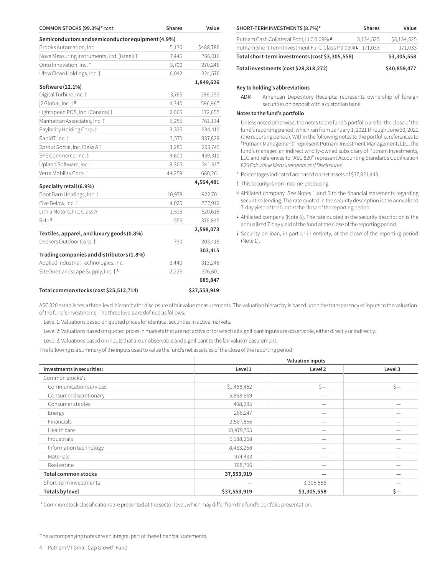| COMMON STOCKS (99.3%)* cont.                      | <b>Shares</b> | Value        |
|---------------------------------------------------|---------------|--------------|
| Semiconductors and semiconductor equipment (4.9%) |               |              |
| Brooks Automation, Inc.                           | 5,130         | \$488,786    |
| Nova Measuring Instruments, Ltd. (Israel) †       | 7,445         | 766,016      |
| Onto Innovation, Inc. †                           | 3,700         | 270,248      |
| Ultra Clean Holdings, Inc. †                      | 6,042         | 324,576      |
| Software (12.1%)                                  |               | 1,849,626    |
| Digital Turbine, Inc.                             | 3,765         | 286,253      |
| j2 Global, Inc. † S                               | 4,340         | 596,967      |
| Lightspeed POS, Inc. (Canada) †                   | 2,065         | 172,655      |
| Manhattan Associates, Inc. 1                      | 5,255         | 761,134      |
| Paylocity Holding Corp. 1                         | 3,325         | 634,410      |
| Rapid7, Inc. †                                    | 3,570         | 337,829      |
| Sprout Social, Inc. Class A <sup>+</sup>          | 3,285         | 293,745      |
| SPS Commerce, Inc. 1                              | 4,600         | 459,310      |
| Upland Software, Inc. 1                           | 8,305         | 341,917      |
| Verra Mobility Corp. †                            | 44,259        | 680,261      |
| Specialty retail (6.9%)                           |               | 4,564,481    |
| Boot Barn Holdings, Inc. †                        | 10,978        | 922,701      |
| Five Below, Inc. +                                | 4,025         | 777,912      |
| Lithia Motors, Inc. Class A                       | 1,515         | 520,615      |
| $RH$ † $S$                                        | 555           | 376,845      |
|                                                   |               | 2,598,073    |
| Textiles, apparel, and luxury goods (0.8%)        | 790           |              |
| Deckers Outdoor Corp. †                           |               | 303,415      |
| Trading companies and distributors (1.8%)         |               | 303,415      |
| Applied Industrial Technologies, Inc.             | 3,440         | 313,246      |
| SiteOne Landscape Supply, Inc. <sup>† S</sup>     | 2,225         | 376,601      |
|                                                   |               | 689,847      |
| Total common stocks (cost \$25,512,714)           |               | \$37,553,919 |

| SHORT-TERM INVESTMENTS (8.7%)*                           | <b>Shares</b> | Value        |
|----------------------------------------------------------|---------------|--------------|
| Putnam Cash Collateral Pool, LLC 0.09% d                 | 3,134,525     | \$3,134,525  |
| Putnam Short Term Investment Fund Class P0.09% L 171,033 |               | 171,033      |
| Total short-term investments (cost \$3,305,558)          |               | \$3,305,558  |
| Total investments (cost \$28,818,272)                    |               | \$40,859,477 |

#### **Key to holding's abbreviations**

ADR American Depository Receipts: represents ownership of foreign securities on deposit with a custodian bank

#### **Notes to the fund's portfolio**

Unless noted otherwise, the notes to the fund's portfolio are for the close of the fund's reporting period, which ran from January 1, 2021 through June 30, 2021 (the reporting period). Within the following notes to the portfolio, references to "Putnam Management" represent Putnam Investment Management, LLC, the fund's manager, an indirect wholly-owned subsidiary of Putnam Investments, LLC and references to "ASC 820" represent Accounting Standards Codification 820 *Fair Value Measurements and Disclosures*.

- \* Percentages indicated are based on net assets of \$37,821,443.
- † This security is non-income-producing.
- **<sup>d</sup>** Affiliated company. See Notes 1 and 5 to the financial statements regarding securities lending. The rate quoted in the security description is the annualized 7-day yield of the fund at the close of the reporting period.
- **<sup>L</sup>** Affiliated company (Note 5). The rate quoted in the security description is the annualized 7-day yield of the fund at the close of the reporting period.
- **<sup>S</sup>** Security on loan, in part or in entirety, at the close of the reporting period (Note 1).

ASC 820 establishes a three-level hierarchy for disclosure of fair value measurements. The valuation hierarchy is based upon the transparency of inputs to the valuation of the fund's investments. The three levels are defined as follows:

Level 1: Valuations based on quoted prices for identical securities in active markets.

Level 2: Valuations based on quoted prices in markets that are not active or for which all significant inputs are observable, either directly or indirectly.

Level 3: Valuations based on inputs that are unobservable and significant to the fair value measurement.

The following is a summary of the inputs used to value the fund's net assets as of the close of the reporting period:

|                            | <b>Valuation inputs</b>  |             |         |
|----------------------------|--------------------------|-------------|---------|
| Investments in securities: | Level 1                  | Level 2     | Level 3 |
| Common stocks*:            |                          |             |         |
| Communication services     | \$1,468,452              | $S-$        | $s-$    |
| Consumer discretionary     | 5,858,669                | –           |         |
| Consumer staples           | 498,235                  |             |         |
| Energy                     | 266,247                  | -           |         |
| Financials                 | 2,587,856                |             |         |
| Health care                | 10,479,705               |             |         |
| Industrials                | 6,188,268                | –           |         |
| Information technology     | 8,463,258                | -           |         |
| Materials                  | 974,433                  | –           |         |
| Real estate                | 768,796                  |             |         |
| Total common stocks        | 37,553,919               | -           |         |
| Short-term investments     | $\overline{\phantom{a}}$ | 3,305,558   |         |
| Totals by level            | \$37,553,919             | \$3,305,558 | \$—     |

\* Common stock classifications are presented at the sector level, which may differ from the fund's portfolio presentation.

The accompanying notes are an integral part of these financial statements.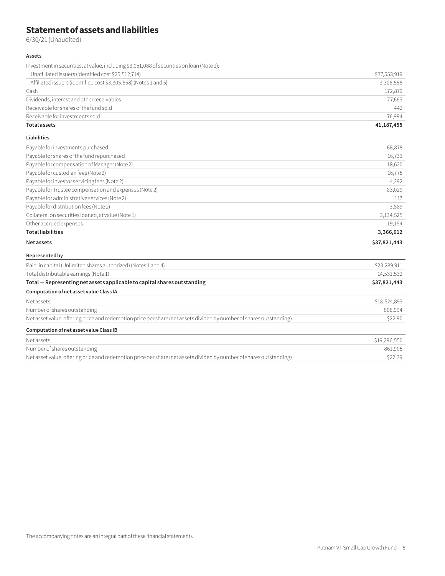# **Statement of assets and liabilities**

6/30/21 (Unaudited)

#### **Assets**

| Investment in securities, at value, including \$3,051,088 of securities on loan (Note 1): |              |
|-------------------------------------------------------------------------------------------|--------------|
| Unaffiliated issuers (identified cost \$25,512,714)                                       | \$37,553,919 |
| Affiliated issuers (identified cost \$3,305,558) (Notes 1 and 5)                          | 3,305,558    |
| Cash                                                                                      | 172.879      |
| Dividends, interest and other receivables                                                 | 77.663       |
| Receivable for shares of the fund sold                                                    | 442          |
| Receivable for investments sold                                                           | 76.994       |
| <b>Total assets</b>                                                                       | 41,187,455   |

#### **Liabilities**

| Payable for investments purchased                      | 68,878       |
|--------------------------------------------------------|--------------|
| Payable for shares of the fund repurchased             | 16,733       |
| Payable for compensation of Manager (Note 2)           | 18,620       |
| Payable for custodian fees (Note 2)                    | 16,775       |
| Payable for investor servicing fees (Note 2)           | 4,292        |
| Payable for Trustee compensation and expenses (Note 2) | 83,029       |
| Payable for administrative services (Note 2)           | 117          |
| Payable for distribution fees (Note 2)                 | 3,889        |
| Collateral on securities loaned, at value (Note 1)     | 3,134,525    |
| Other accrued expenses                                 | 19,154       |
| <b>Total liabilities</b>                               | 3,366,012    |
| Net assets                                             | \$37,821,443 |

#### **Represented by**

| Paid-in capital (Unlimited shares authorized) (Notes 1 and 4)                                                       | \$23,289,911 |
|---------------------------------------------------------------------------------------------------------------------|--------------|
| Total distributable earnings (Note 1)                                                                               | 14,531,532   |
| Total - Representing net assets applicable to capital shares outstanding                                            | \$37,821,443 |
| Computation of net asset value Class IA                                                                             |              |
| Net assets                                                                                                          | \$18,524,893 |
| Number of shares outstanding                                                                                        | 808,994      |
| Net asset value, offering price and redemption price per share (net assets divided by number of shares outstanding) | \$22.90      |
| Computation of net asset value Class IB                                                                             |              |
| Net assets                                                                                                          | \$19,296,550 |
| Number of shares outstanding                                                                                        | 861,905      |
| Net asset value, offering price and redemption price per share (net assets divided by number of shares outstanding) | \$22.39      |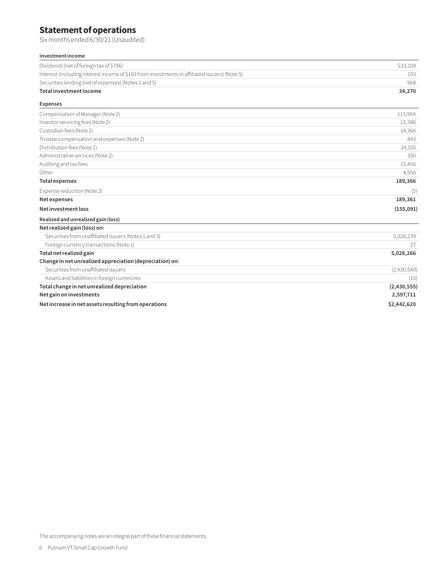# **Statement of operations**

Six months ended 6/30/21 (Unaudited)

| Investment income |  |
|-------------------|--|
|                   |  |

| Dividends (net of foreign tax of \$796)                                                       | \$33,109 |
|-----------------------------------------------------------------------------------------------|----------|
| Interest (including interest income of \$193 from investments in affiliated issuers) (Note 5) | 193      |
| Securities lending (net of expenses) (Notes 1 and 5)                                          | 968      |
| Total investment income                                                                       | 34,270   |
| <b>Expenses</b>                                                                               |          |

| Compensation of Manager (Note 2)                         | 115,904     |
|----------------------------------------------------------|-------------|
| Investor servicing fees (Note 2)                         | 13,386      |
| Custodian fees (Note 2)                                  | 14,366      |
| Trustee compensation and expenses (Note 2)               | 843         |
| Distribution fees (Note 2)                               | 24,105      |
| Administrative services (Note 2)                         | 350         |
| Auditing and tax fees                                    | 15,456      |
| Other                                                    | 4,956       |
| <b>Total expenses</b>                                    | 189,366     |
| Expense reduction (Note 2)                               | (5)         |
| Net expenses                                             | 189,361     |
| Net investment loss                                      | (155,091)   |
| Realized and unrealized gain (loss)                      |             |
| Net realized gain (loss) on:                             |             |
| Securities from unaffiliated issuers (Notes 1 and 3)     | 5,028,239   |
| Foreign currency transactions (Note 1)                   | 27          |
| Total net realized gain                                  | 5,028,266   |
| Change in net unrealized appreciation (depreciation) on: |             |
| Securities from unaffiliated issuers                     | (2,430,540) |
| Assets and liabilities in foreign currencies             | (15)        |
| Total change in net unrealized depreciation              | (2,430,555) |
| Net gain on investments                                  | 2,597,711   |
| Net increase in net assets resulting from operations     | \$2,442,620 |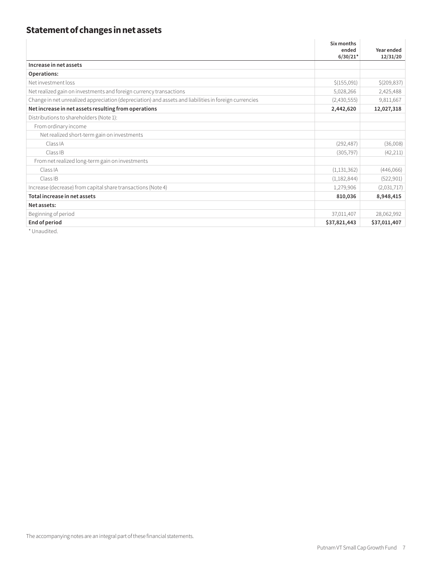# **Statement of changes in net assets**

|                                                                                                       | Six months<br>ended<br>$6/30/21*$ | Year ended<br>12/31/20 |
|-------------------------------------------------------------------------------------------------------|-----------------------------------|------------------------|
| Increase in net assets                                                                                |                                   |                        |
| Operations:                                                                                           |                                   |                        |
| Net investment loss                                                                                   | \$(155,091)                       | \$(209, 837)           |
| Net realized gain on investments and foreign currency transactions                                    | 5,028,266                         | 2,425,488              |
| Change in net unrealized appreciation (depreciation) and assets and liabilities in foreign currencies | (2,430,555)                       | 9,811,667              |
| Net increase in net assets resulting from operations                                                  | 2,442,620                         | 12,027,318             |
| Distributions to shareholders (Note 1):                                                               |                                   |                        |
| From ordinary income                                                                                  |                                   |                        |
| Net realized short-term gain on investments                                                           |                                   |                        |
| Class IA                                                                                              | (292, 487)                        | (36,008)               |
| Class IB                                                                                              | (305, 797)                        | (42, 211)              |
| From net realized long-term gain on investments                                                       |                                   |                        |
| Class IA                                                                                              | (1, 131, 362)                     | (446, 066)             |
| Class IB                                                                                              | (1, 182, 844)                     | (522, 901)             |
| Increase (decrease) from capital share transactions (Note 4)                                          | 1,279,906                         | (2,031,717)            |
| Total increase in net assets                                                                          | 810,036                           | 8,948,415              |
| Net assets:                                                                                           |                                   |                        |
| Beginning of period                                                                                   | 37,011,407                        | 28,062,992             |
| End of period                                                                                         | \$37,821,443                      | \$37,011,407           |

\* Unaudited.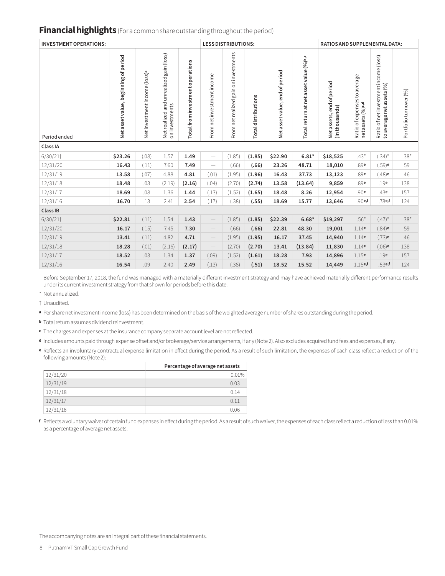# **Financial highlights** (For a common share outstanding throughout the period)

| <b>INVESTMENT OPERATIONS:</b> |                                      |                                           |                                                                  |                                  | <b>LESS DISTRIBUTIONS:</b> |                                       |                            |                                | RATIOS AND SUPPLEMENTAL DATA:          |                                             |                                                  |                                                                    |                        |
|-------------------------------|--------------------------------------|-------------------------------------------|------------------------------------------------------------------|----------------------------------|----------------------------|---------------------------------------|----------------------------|--------------------------------|----------------------------------------|---------------------------------------------|--------------------------------------------------|--------------------------------------------------------------------|------------------------|
| Period ended                  | Net asset value, beginning of period | Net investment income (loss) <sup>a</sup> | gain (loss)<br>unrealized<br>and<br>oninvestments<br>Netrealized | Total from investment operations | From net investment income | From net realized gain on investments | <b>Total distributions</b> | Net asset value, end of period | Total return at net asset value (%)b,c | Net assets, end of period<br>(in thousands) | Ratio of expenses to average<br>netassets (%)c,d | Ratio of net investment income (loss)<br>to average net assets (%) | Portfolio turnover (%) |
| Class IA                      |                                      |                                           |                                                                  |                                  |                            |                                       |                            |                                |                                        |                                             |                                                  |                                                                    |                        |
| 6/30/21                       | \$23.26                              | (0.08)                                    | 1.57                                                             | 1.49                             | $\overline{\phantom{m}}$   | (1.85)                                | (1.85)                     | \$22.90                        | $6.81*$                                | \$18,525                                    | $.43*$                                           | $(.34)^*$                                                          | $38*$                  |
| 12/31/20                      | 16.43                                | (.11)                                     | 7.60                                                             | 7.49                             | $\overline{\phantom{m}}$   | (.66)                                 | (.66)                      | 23.26                          | 48.71                                  | 18,010                                      | .89e                                             | $(.59)$ e                                                          | 59                     |
| 12/31/19                      | 13.58                                | (.07)                                     | 4.88                                                             | 4.81                             | (.01)                      | (1.95)                                | (1.96)                     | 16.43                          | 37.73                                  | 13,123                                      | .89e                                             | $(.48)$ e                                                          | 46                     |
| 12/31/18                      | 18.48                                | .03                                       | (2.19)                                                           | (2.16)                           | (.04)                      | (2.70)                                | (2.74)                     | 13.58                          | (13.64)                                | 9,859                                       | .89e                                             | .19e                                                               | 138                    |
| 12/31/17                      | 18.69                                | .08                                       | 1.36                                                             | 1.44                             | (.13)                      | (1.52)                                | (1.65)                     | 18.48                          | 8.26                                   | 12,954                                      | .90 <sub>e</sub>                                 | .43e                                                               | 157                    |
| 12/31/16                      | 16.70                                | .13                                       | 2.41                                                             | 2.54                             | (.17)                      | (.38)                                 | (.55)                      | 18.69                          | 15.77                                  | 13,646                                      | $.90$ e,f                                        | $.78e$ f                                                           | 124                    |
| Class IB                      |                                      |                                           |                                                                  |                                  |                            |                                       |                            |                                |                                        |                                             |                                                  |                                                                    |                        |
| 6/30/211                      | \$22.81                              | (.11)                                     | 1.54                                                             | 1.43                             | $\overline{\phantom{0}}$   | (1.85)                                | (1.85)                     | \$22.39                        | $6.68*$                                | \$19,297                                    | $.56*$                                           | $(.47)^*$                                                          | $38*$                  |
| 12/31/20                      | 16.17                                | (.15)                                     | 7.45                                                             | 7.30                             | $\overline{\phantom{m}}$   | (.66)                                 | (.66)                      | 22.81                          | 48.30                                  | 19,001                                      | 1.14e                                            | $(.84)$ e                                                          | 59                     |
| 12/31/19                      | 13.41                                | (.11)                                     | 4.82                                                             | 4.71                             | $\overline{\phantom{m}}$   | (1.95)                                | (1.95)                     | 16.17                          | 37.45                                  | 14,940                                      | 1.14e                                            | $(.73)$ e                                                          | 46                     |
| 12/31/18                      | 18.28                                | (.01)                                     | (2.16)                                                           | (2.17)                           | $\overline{\phantom{0}}$   | (2.70)                                | (2.70)                     | 13.41                          | (13.84)                                | 11,830                                      | 1.14e                                            | $(.06)$ e                                                          | 138                    |
| 12/31/17                      | 18.52                                | .03                                       | 1.34                                                             | 1.37                             | (.09)                      | (1.52)                                | (1.61)                     | 18.28                          | 7.93                                   | 14,896                                      | 1.15 <sup>e</sup>                                | .19e                                                               | 157                    |
| 12/31/16                      | 16.54                                | .09                                       | 2.40                                                             | 2.49                             | (.13)                      | (.38)                                 | (.51)                      | 18.52                          | 15.52                                  | 14,449                                      | $1.15$ e,f                                       | $.53e$ ,f                                                          | 124                    |

Before September 17, 2018, the fund was managed with a materially different investment strategy and may have achieved materially different performance results under its current investment strategy from that shown for periods before this date.

\* Not annualized.

† Unaudited.

**<sup>a</sup>** Per share net investment income (loss) has been determined on the basis of the weighted average number of shares outstanding during the period.

**<sup>b</sup>** Total return assumes dividend reinvestment.

**<sup>c</sup>** The charges and expenses at the insurance company separate account level are not reflected.

**<sup>d</sup>** Includes amounts paid through expense offset and/or brokerage/service arrangements, if any (Note 2). Also excludes acquired fund fees and expenses, if any.

**<sup>e</sup>** Reflects an involuntary contractual expense limitation in effect during the period. As a result of such limitation, the expenses of each class reflect a reduction of the following amounts (Note 2):

|          | Percentage of average net assets |
|----------|----------------------------------|
| 12/31/20 | 0.01%                            |
| 12/31/19 | 0.03                             |
| 12/31/18 | 0.14                             |
| 12/31/17 | 0.11                             |
| 12/31/16 | 0.06                             |

**<sup>f</sup>** Reflects a voluntary waiver of certain fund expenses in effect during the period. As a result of such waiver, the expenses of each class reflect a reduction of less than 0.01% as a percentage of average net assets.

The accompanying notes are an integral part of these financial statements.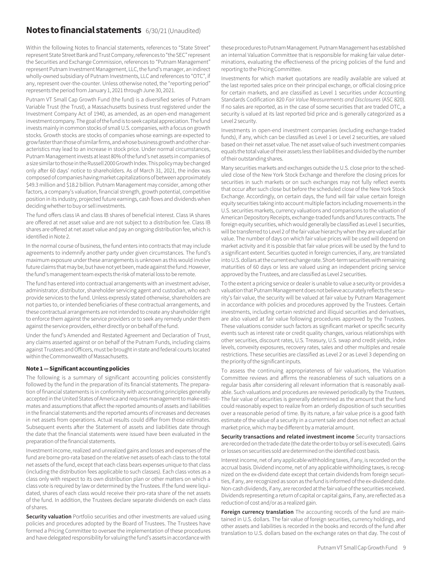# **Notes to financial statements** 6/30/21 (Unaudited)

Within the following Notes to financial statements, references to "State Street" represent State Street Bank and Trust Company, references to "the SEC" represent the Securities and Exchange Commission, references to "Putnam Management" represent Putnam Investment Management, LLC, the fund's manager, an indirect wholly-owned subsidiary of Putnam Investments, LLC and references to "OTC", if any, represent over-the-counter. Unless otherwise noted, the "reporting period" represents the period from January 1, 2021 through June 30, 2021.

Putnam VT Small Cap Growth Fund (the fund) is a diversified series of Putnam Variable Trust (the Trust), a Massachusetts business trust registered under the Investment Company Act of 1940, as amended, as an open-end management investment company. The goal of the fund is to seek capital appreciation. The fund invests mainly in common stocks of small U.S. companies, with a focus on growth stocks. Growth stocks are stocks of companies whose earnings are expected to grow faster than those of similar firms, and whose business growth and other characteristics may lead to an increase in stock price. Under normal circumstances, Putnam Management invests at least 80% of the fund's net assets in companies of a size similar to those in the Russell 2000 Growth Index. This policy may be changed only after 60 days' notice to shareholders. As of March 31, 2021, the index was composed of companies having market capitalizations of between approximately \$49.3 million and \$18.2 billion. Putnam Management may consider, among other factors, a company's valuation, financial strength, growth potential, competitive position in its industry, projected future earnings, cash flows and dividends when deciding whether to buy or sell investments.

The fund offers class IA and class IB shares of beneficial interest. Class IA shares are offered at net asset value and are not subject to a distribution fee. Class IB shares are offered at net asset value and pay an ongoing distribution fee, which is identified in Note 2.

In the normal course of business, the fund enters into contracts that may include agreements to indemnify another party under given circumstances. The fund's maximum exposure under these arrangements is unknown as this would involve future claims that may be, but have not yet been, made against the fund. However, the fund's management team expects the risk of material loss to be remote.

The fund has entered into contractual arrangements with an investment adviser, administrator, distributor, shareholder servicing agent and custodian, who each provide services to the fund. Unless expressly stated otherwise, shareholders are not parties to, or intended beneficiaries of these contractual arrangements, and these contractual arrangements are not intended to create any shareholder right to enforce them against the service providers or to seek any remedy under them against the service providers, either directly or on behalf of the fund.

Under the fund's Amended and Restated Agreement and Declaration of Trust, any claims asserted against or on behalf of the Putnam Funds, including claims against Trustees and Officers, must be brought in state and federal courts located within the Commonwealth of Massachusetts.

#### **Note 1 — Significant accounting policies**

The following is a summary of significant accounting policies consistently followed by the fund in the preparation of its financial statements. The preparation of financial statements is in conformity with accounting principles generally accepted in the United States of America and requires management to make estimates and assumptions that affect the reported amounts of assets and liabilities in the financial statements and the reported amounts of increases and decreases in net assets from operations. Actual results could differ from those estimates. Subsequent events after the Statement of assets and liabilities date through the date that the financial statements were issued have been evaluated in the preparation of the financial statements.

Investment income, realized and unrealized gains and losses and expenses of the fund are borne pro-rata based on the relative net assets of each class to the total net assets of the fund, except that each class bears expenses unique to that class (including the distribution fees applicable to such classes). Each class votes as a class only with respect to its own distribution plan or other matters on which a class vote is required by law or determined by the Trustees. If the fund were liquidated, shares of each class would receive their pro-rata share of the net assets of the fund. In addition, the Trustees declare separate dividends on each class of shares.

**Security valuation** Portfolio securities and other investments are valued using policies and procedures adopted by the Board of Trustees. The Trustees have formed a Pricing Committee to oversee the implementation of these procedures and have delegated responsibility for valuing the fund's assets in accordance with

these procedures to Putnam Management. Putnam Management has established an internal Valuation Committee that is responsible for making fair value determinations, evaluating the effectiveness of the pricing policies of the fund and reporting to the Pricing Committee.

Investments for which market quotations are readily available are valued at the last reported sales price on their principal exchange, or official closing price for certain markets, and are classified as Level 1 securities under Accounting Standards Codification 820 *Fair Value Measurements and Disclosures* (ASC 820). If no sales are reported, as in the case of some securities that are traded OTC, a security is valued at its last reported bid price and is generally categorized as a Level 2 security.

Investments in open-end investment companies (excluding exchange-traded funds), if any, which can be classified as Level 1 or Level 2 securities, are valued based on their net asset value. The net asset value of such investment companies equals the total value of their assets less their liabilities and divided by the number of their outstanding shares.

Many securities markets and exchanges outside the U.S. close prior to the scheduled close of the New York Stock Exchange and therefore the closing prices for securities in such markets or on such exchanges may not fully reflect events that occur after such close but before the scheduled close of the New York Stock Exchange. Accordingly, on certain days, the fund will fair value certain foreign equity securities taking into account multiple factors including movements in the U.S. securities markets, currency valuations and comparisons to the valuation of American Depository Receipts, exchange-traded funds and futures contracts. The foreign equity securities, which would generally be classified as Level 1 securities, will be transferred to Level 2 of the fair value hierarchy when they are valued at fair value. The number of days on which fair value prices will be used will depend on market activity and it is possible that fair value prices will be used by the fund to a significant extent. Securities quoted in foreign currencies, if any, are translated into U.S. dollars at the current exchange rate. Short-term securities with remaining maturities of 60 days or less are valued using an independent pricing service approved by the Trustees, and are classified as Level 2 securities.

To the extent a pricing service or dealer is unable to value a security or provides a valuation that Putnam Management does not believe accurately reflects the security's fair value, the security will be valued at fair value by Putnam Management in accordance with policies and procedures approved by the Trustees. Certain investments, including certain restricted and illiquid securities and derivatives, are also valued at fair value following procedures approved by the Trustees. These valuations consider such factors as significant market or specific security events such as interest rate or credit quality changes, various relationships with other securities, discount rates, U.S. Treasury, U.S. swap and credit yields, index levels, convexity exposures, recovery rates, sales and other multiples and resale restrictions. These securities are classified as Level 2 or as Level 3 depending on the priority of the significant inputs.

To assess the continuing appropriateness of fair valuations, the Valuation Committee reviews and affirms the reasonableness of such valuations on a regular basis after considering all relevant information that is reasonably available. Such valuations and procedures are reviewed periodically by the Trustees. The fair value of securities is generally determined as the amount that the fund could reasonably expect to realize from an orderly disposition of such securities over a reasonable period of time. By its nature, a fair value price is a good faith estimate of the value of a security in a current sale and does not reflect an actual market price, which may be different by a material amount.

**Security transactions and related investment income** Security transactions are recorded on the trade date (the date the order to buy or sell is executed). Gains or losses on securities sold are determined on the identified cost basis.

Interest income, net of any applicable withholding taxes, if any, is recorded on the accrual basis. Dividend income, net of any applicable withholding taxes, is recognized on the ex-dividend date except that certain dividends from foreign securities, if any, are recognized as soon as the fund is informed of the ex-dividend date. Non-cash dividends, if any, are recorded at the fair value of the securities received. Dividends representing a return of capital or capital gains, if any, are reflected as a reduction of cost and/or as a realized gain.

**Foreign currency translation** The accounting records of the fund are maintained in U.S. dollars. The fair value of foreign securities, currency holdings, and other assets and liabilities is recorded in the books and records of the fund after translation to U.S. dollars based on the exchange rates on that day. The cost of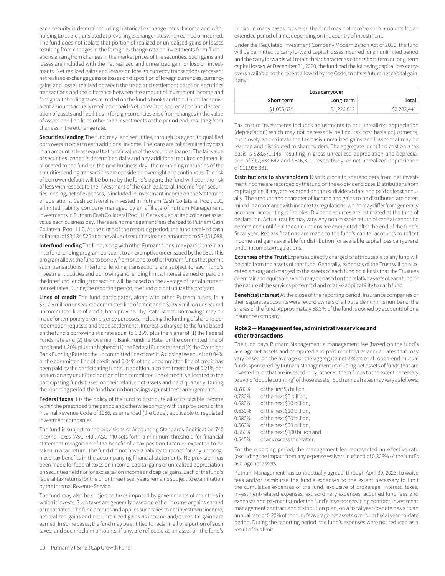each security is determined using historical exchange rates. Income and withholding taxes are translated at prevailing exchange rates when earned or incurred. The fund does not isolate that portion of realized or unrealized gains or losses resulting from changes in the foreign exchange rate on investments from fluctuations arising from changes in the market prices of the securities. Such gains and losses are included with the net realized and unrealized gain or loss on investments. Net realized gains and losses on foreign currency transactions represent net realized exchange gains or losses on disposition of foreign currencies, currency gains and losses realized between the trade and settlement dates on securities transactions and the difference between the amount of investment income and foreign withholding taxes recorded on the fund's books and the U.S. dollar equivalent amounts actually received or paid. Net unrealized appreciation and depreciation of assets and liabilities in foreign currencies arise from changes in the value of assets and liabilities other than investments at the period end, resulting from changes in the exchange rate.

**Securities lending** The fund may lend securities, through its agent, to qualified borrowers in order to earn additional income. The loans are collateralized by cash in an amount at least equal to the fair value of the securities loaned. The fair value of securities loaned is determined daily and any additional required collateral is allocated to the fund on the next business day. The remaining maturities of the securities lending transactions are considered overnight and continuous. The risk of borrower default will be borne by the fund's agent; the fund will bear the risk of loss with respect to the investment of the cash collateral. Income from securities lending, net of expenses, is included in investment income on the Statement of operations. Cash collateral is invested in Putnam Cash Collateral Pool, LLC, a limited liability company managed by an affiliate of Putnam Management. Investments in Putnam Cash Collateral Pool, LLC are valued at its closing net asset value each business day. There are no management fees charged to Putnam Cash Collateral Pool, LLC. At the close of the reporting period, the fund received cash collateral of \$3,134,525 and the value of securities loaned amounted to \$3,051,088.

**Interfund lending** The fund, along with other Putnam funds, may participate in an interfund lending program pursuant to an exemptive order issued by the SEC. This program allows the fund to borrow from or lend to other Putnam funds that permit such transactions. Interfund lending transactions are subject to each fund's investment policies and borrowing and lending limits. Interest earned or paid on the interfund lending transaction will be based on the average of certain current market rates. During the reporting period, the fund did not utilize the program.

**Lines of credit** The fund participates, along with other Putnam funds, in a \$317.5 million unsecured committed line of credit and a \$235.5 million unsecured uncommitted line of credit, both provided by State Street. Borrowings may be made for temporary or emergency purposes, including the funding of shareholder redemption requests and trade settlements. Interest is charged to the fund based on the fund's borrowing at a rate equal to 1.25% plus the higher of (1) the Federal Funds rate and (2) the Overnight Bank Funding Rate for the committed line of credit and 1.30% plus the higher of (1) the Federal Funds rate and (2) the Overnight Bank Funding Rate for the uncommitted line of credit. A closing fee equal to 0.04% of the committed line of credit and 0.04% of the uncommitted line of credit has been paid by the participating funds. In addition, a commitment fee of 0.21% per annum on any unutilized portion of the committed line of credit is allocated to the participating funds based on their relative net assets and paid quarterly. During the reporting period, the fund had no borrowings against these arrangements.

**Federal taxes** It is the policy of the fund to distribute all of its taxable income within the prescribed time period and otherwise comply with the provisions of the Internal Revenue Code of 1986, as amended (the Code), applicable to regulated investment companies.

The fund is subject to the provisions of Accounting Standards Codification 740 *Income Taxes* (ASC 740). ASC 740 sets forth a minimum threshold for financial statement recognition of the benefit of a tax position taken or expected to be taken in a tax return. The fund did not have a liability to record for any unrecognized tax benefits in the accompanying financial statements. No provision has been made for federal taxes on income, capital gains or unrealized appreciation on securities held nor for excise tax on income and capital gains. Each of the fund's federal tax returns for the prior three fiscal years remains subject to examination by the Internal Revenue Service.

The fund may also be subject to taxes imposed by governments of countries in which it invests. Such taxes are generally based on either income or gains earned or repatriated. The fund accrues and applies such taxes to net investment income, net realized gains and net unrealized gains as income and/or capital gains are earned. In some cases, the fund may be entitled to reclaim all or a portion of such taxes, and such reclaim amounts, if any, are reflected as an asset on the fund's

books. In many cases, however, the fund may not receive such amounts for an extended period of time, depending on the country of investment.

Under the Regulated Investment Company Modernization Act of 2010, the fund will be permitted to carry forward capital losses incurred for an unlimited period and the carry forwards will retain their character as either short-term or long-term capital losses. At December 31, 2020, the fund had the following capital loss carryovers available, to the extent allowed by the Code, to offset future net capital gain, if any:

| Loss carryover |             |             |  |  |  |  |
|----------------|-------------|-------------|--|--|--|--|
| Short-term     | Long-term   | Total       |  |  |  |  |
| \$1,055,629    | \$1,226,812 | \$2,282,441 |  |  |  |  |

Tax cost of investments includes adjustments to net unrealized appreciation (depreciation) which may not necessarily be final tax cost basis adjustments, but closely approximate the tax basis unrealized gains and losses that may be realized and distributed to shareholders. The aggregate identified cost on a tax basis is \$28,871,146, resulting in gross unrealized appreciation and depreciation of \$12,534,642 and \$546,311, respectively, or net unrealized appreciation of \$11,988,331.

**Distributions to shareholders** Distributions to shareholders from net investment income are recorded by the fund on the ex-dividend date. Distributions from capital gains, if any, are recorded on the ex-dividend date and paid at least annually. The amount and character of income and gains to be distributed are determined in accordance with income tax regulations, which may differ from generally accepted accounting principles. Dividend sources are estimated at the time of declaration. Actual results may vary. Any non-taxable return of capital cannot be determined until final tax calculations are completed after the end of the fund's fiscal year. Reclassifications are made to the fund's capital accounts to reflect income and gains available for distribution (or available capital loss carryovers) under income tax regulations.

**Expenses of the Trust** Expenses directly charged or attributable to any fund will be paid from the assets of that fund. Generally, expenses of the Trust will be allocated among and charged to the assets of each fund on a basis that the Trustees deem fair and equitable, which may be based on the relative assets of each fund or the nature of the services performed and relative applicability to each fund.

**Beneficial interest** At the close of the reporting period, insurance companies or their separate accounts were record owners of all but a de minimis number of the shares of the fund. Approximately 58.3% of the fund is owned by accounts of one insurance company.

#### **Note 2 — Management fee, administrative services and other transactions**

The fund pays Putnam Management a management fee (based on the fund's average net assets and computed and paid monthly) at annual rates that may vary based on the average of the aggregate net assets of all open-end mutual funds sponsored by Putnam Management (excluding net assets of funds that are invested in, or that are invested in by, other Putnam funds to the extent necessary to avoid "double counting" of those assets). Such annual rates may vary as follows:

| 0.780% | of the first \$5 billion,     |
|--------|-------------------------------|
| 0.730% | of the next \$5 billion,      |
| 0.680% | of the next \$10 billion,     |
| 0.630% | of the next \$10 billion,     |
| 0.580% | of the next \$50 billion,     |
| 0.560% | of the next \$50 billion,     |
| 0.550% | of the next \$100 billion and |
| 0.545% | of any excess thereafter.     |

For the reporting period, the management fee represented an effective rate (excluding the impact from any expense waivers in effect) of 0.303% of the fund's average net assets.

Putnam Management has contractually agreed, through April 30, 2023, to waive fees and/or reimburse the fund's expenses to the extent necessary to limit the cumulative expenses of the fund, exclusive of brokerage, interest, taxes, investment-related expenses, extraordinary expenses, acquired fund fees and expenses and payments under the fund's investor servicing contract, investment management contract and distribution plan, on a fiscal year-to-date basis to an annual rate of 0.20% of the fund's average net assets over such fiscal year-to-date period. During the reporting period, the fund's expenses were not reduced as a result of this limit.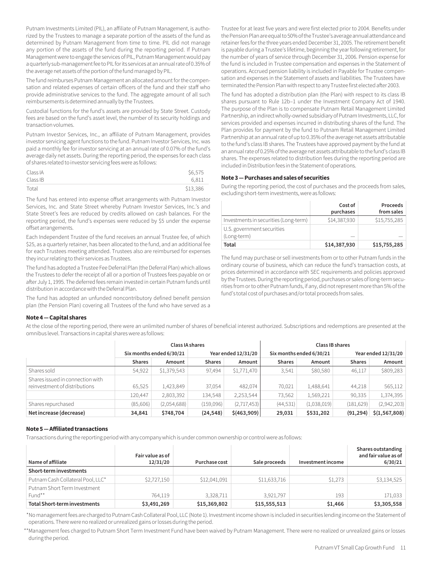Putnam Investments Limited (PIL), an affiliate of Putnam Management, is authorized by the Trustees to manage a separate portion of the assets of the fund as determined by Putnam Management from time to time. PIL did not manage any portion of the assets of the fund during the reporting period. If Putnam Management were to engage the services of PIL, Putnam Management would pay a quarterly sub-management fee to PIL for its services at an annual rate of 0.35% of the average net assets of the portion of the fund managed by PIL.

The fund reimburses Putnam Management an allocated amount for the compensation and related expenses of certain officers of the fund and their staff who provide administrative services to the fund. The aggregate amount of all such reimbursements is determined annually by the Trustees.

Custodial functions for the fund's assets are provided by State Street. Custody fees are based on the fund's asset level, the number of its security holdings and transaction volumes.

Putnam Investor Services, Inc., an affiliate of Putnam Management, provides investor servicing agent functions to the fund. Putnam Investor Services, Inc. was paid a monthly fee for investor servicing at an annual rate of 0.07% of the fund's average daily net assets. During the reporting period, the expenses for each class of shares related to investor servicing fees were as follows:

| Class IA | \$6,575  |
|----------|----------|
| Class IB | 6.811    |
| Total    | \$13,386 |

The fund has entered into expense offset arrangements with Putnam Investor Services, Inc. and State Street whereby Putnam Investor Services, Inc.'s and State Street's fees are reduced by credits allowed on cash balances. For the reporting period, the fund's expenses were reduced by \$5 under the expense offset arrangements.

Each Independent Trustee of the fund receives an annual Trustee fee, of which \$25, as a quarterly retainer, has been allocated to the fund, and an additional fee for each Trustees meeting attended. Trustees also are reimbursed for expenses they incur relating to their services as Trustees.

The fund has adopted a Trustee Fee Deferral Plan (the Deferral Plan) which allows the Trustees to defer the receipt of all or a portion of Trustees fees payable on or after July 1, 1995. The deferred fees remain invested in certain Putnam funds until distribution in accordance with the Deferral Plan.

The fund has adopted an unfunded noncontributory defined benefit pension plan (the Pension Plan) covering all Trustees of the fund who have served as a Trustee for at least five years and were first elected prior to 2004. Benefits under the Pension Plan are equal to 50% of the Trustee's average annual attendance and retainer fees for the three years ended December 31, 2005. The retirement benefit is payable during a Trustee's lifetime, beginning the year following retirement, for the number of years of service through December 31, 2006. Pension expense for the fund is included in Trustee compensation and expenses in the Statement of operations. Accrued pension liability is included in Payable for Trustee compensation and expenses in the Statement of assets and liabilities. The Trustees have terminated the Pension Plan with respect to any Trustee first elected after 2003.

The fund has adopted a distribution plan (the Plan) with respect to its class IB shares pursuant to Rule 12b–1 under the Investment Company Act of 1940. The purpose of the Plan is to compensate Putnam Retail Management Limited Partnership, an indirect wholly-owned subsidiary of Putnam Investments, LLC, for services provided and expenses incurred in distributing shares of the fund. The Plan provides for payment by the fund to Putnam Retail Management Limited Partnership at an annual rate of up to 0.35% of the average net assets attributable to the fund's class IB shares. The Trustees have approved payment by the fund at an annual rate of 0.25% of the average net assets attributable to the fund's class IB shares. The expenses related to distribution fees during the reporting period are included in Distribution fees in the Statement of operations.

#### **Note 3 — Purchases and sales of securities**

During the reporting period, the cost of purchases and the proceeds from sales, excluding short-term investments, were as follows:

|                                           | Cost of<br>purchases | Proceeds<br>from sales |
|-------------------------------------------|----------------------|------------------------|
| Investments in securities (Long-term)     | \$14,387,930         | \$15,755,285           |
| U.S. government securities<br>(Long-term) |                      |                        |
| Total                                     | \$14,387,930         | \$15,755,285           |

The fund may purchase or sell investments from or to other Putnam funds in the ordinary course of business, which can reduce the fund's transaction costs, at prices determined in accordance with SEC requirements and policies approved by the Trustees. During the reporting period, purchases or sales of long-term securities from or to other Putnam funds, if any, did not represent more than 5% of the fund's total cost of purchases and/or total proceeds from sales.

#### **Note 4 — Capital shares**

At the close of the reporting period, there were an unlimited number of shares of beneficial interest authorized. Subscriptions and redemptions are presented at the omnibus level. Transactions in capital shares were as follows:

|                                  | <b>Class IA shares</b>   |             |                     |              | Class IB shares          |             |                     |                 |  |
|----------------------------------|--------------------------|-------------|---------------------|--------------|--------------------------|-------------|---------------------|-----------------|--|
|                                  | Six months ended 6/30/21 |             | Year ended 12/31/20 |              | Six months ended 6/30/21 |             | Year ended 12/31/20 |                 |  |
|                                  | <b>Shares</b>            | Amount      | <b>Shares</b>       | Amount       | <b>Shares</b>            | Amount      | <b>Shares</b>       | Amount          |  |
| Shares sold                      | 54,922                   | \$1,379,543 | 97,494              | \$1,771,470  | 3,541                    | \$80,580    | 46,117              | \$809,283       |  |
| Shares issued in connection with |                          |             |                     |              |                          |             |                     |                 |  |
| reinvestment of distributions    | 65,525                   | 1,423,849   | 37,054              | 482,074      | 70,021                   | 1,488,641   | 44,218              | 565,112         |  |
|                                  | 120.447                  | 2,803,392   | 134.548             | 2,253,544    | 73.562                   | 1,569,221   | 90,335              | 1,374,395       |  |
| Shares repurchased               | (85,606)                 | (2,054,688) | (159,096)           | (2,717,453)  | (44, 531)                | (1,038,019) | (181, 629)          | (2,942,203)     |  |
| Net increase (decrease)          | 34,841                   | \$748,704   | (24, 548)           | \$ (463,909) | 29,031                   | \$531,202   | (91, 294)           | \$(1, 567, 808) |  |

#### **Note 5 — Affiliated transactions**

Transactions during the reporting period with any company which is under common ownership or control were as follows:

| Name of affiliate                        | Fair value as of<br>12/31/20 | Purchase cost | Sale proceeds | Investment income | Shares outstanding<br>and fair value as of<br>6/30/21 |
|------------------------------------------|------------------------------|---------------|---------------|-------------------|-------------------------------------------------------|
| Short-term investments                   |                              |               |               |                   |                                                       |
| Putnam Cash Collateral Pool, LLC*        | \$2,727,150                  | \$12,041,091  | \$11,633,716  | \$1,273           | \$3,134,525                                           |
| Putnam Short Term Investment<br>$Fund**$ | 764.119                      | 3,328,711     | 3.921.797     | 193               | 171.033                                               |
| <b>Total Short-term investments</b>      | \$3,491,269                  | \$15,369,802  | \$15,555,513  | \$1,466           | \$3,305,558                                           |

\*No management fees are charged to Putnam Cash Collateral Pool, LLC (Note 1). Investment income shown is included in securities lending income on the Statement of operations. There were no realized or unrealized gains or losses during the period.

\*\*Management fees charged to Putnam Short Term Investment Fund have been waived by Putnam Management. There were no realized or unrealized gains or losses during the period.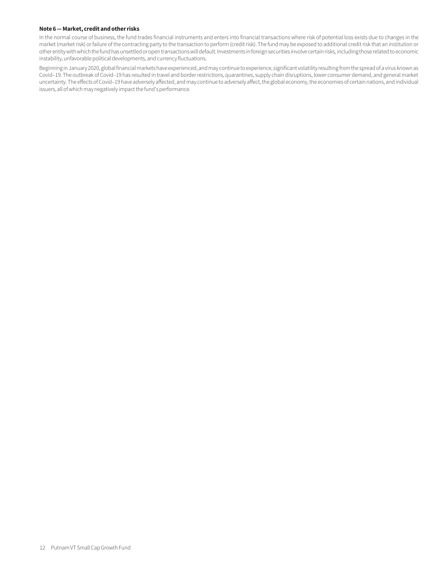#### **Note 6 — Market, credit and other risks**

In the normal course of business, the fund trades financial instruments and enters into financial transactions where risk of potential loss exists due to changes in the market (market risk) or failure of the contracting party to the transaction to perform (credit risk). The fund may be exposed to additional credit risk that an institution or other entity with which the fund has unsettled or open transactions will default.Investments in foreign securities involve certain risks, including those related to economic instability, unfavorable political developments, and currency fluctuations.

Beginning in January 2020, global financial markets have experienced, and may continue to experience, significant volatility resulting from the spread of a virus known as Covid–19. The outbreak of Covid–19 has resulted in travel and border restrictions, quarantines, supply chain disruptions, lower consumer demand, and general market uncertainty. The effects of Covid–19 have adversely affected, and may continue to adversely affect, the global economy, the economies of certain nations, and individual issuers, all of which may negatively impact the fund's performance.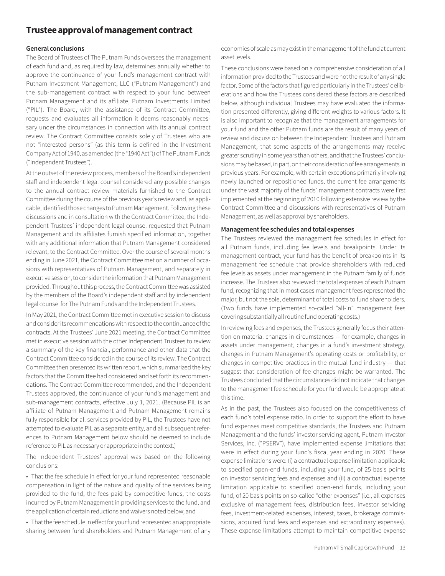# **Trustee approval of management contract**

#### **General conclusions**

The Board of Trustees of The Putnam Funds oversees the management of each fund and, as required by law, determines annually whether to approve the continuance of your fund's management contract with Putnam Investment Management, LLC ("Putnam Management") and the sub-management contract with respect to your fund between Putnam Management and its affiliate, Putnam Investments Limited ("PIL"). The Board, with the assistance of its Contract Committee, requests and evaluates all information it deems reasonably necessary under the circumstances in connection with its annual contract review. The Contract Committee consists solely of Trustees who are not "interested persons" (as this term is defined in the Investment Company Act of 1940, as amended (the "1940 Act")) of The Putnam Funds ("Independent Trustees").

At the outset of the review process, members of the Board's independent staff and independent legal counsel considered any possible changes to the annual contract review materials furnished to the Contract Committee during the course of the previous year's review and, as applicable, identified those changes to Putnam Management. Following these discussions and in consultation with the Contract Committee, the Independent Trustees' independent legal counsel requested that Putnam Management and its affiliates furnish specified information, together with any additional information that Putnam Management considered relevant, to the Contract Committee. Over the course of several months ending in June 2021, the Contract Committee met on a number of occasions with representatives of Putnam Management, and separately in executive session, to consider the information that Putnam Management provided. Throughout this process, the Contract Committee was assisted by the members of the Board's independent staff and by independent legal counsel for The Putnam Funds and the Independent Trustees.

In May 2021, the Contract Committee met in executive session to discuss and consider its recommendations with respect to the continuance of the contracts. At the Trustees' June 2021 meeting, the Contract Committee met in executive session with the other Independent Trustees to review a summary of the key financial, performance and other data that the Contract Committee considered in the course of its review. The Contract Committee then presented its written report, which summarized the key factors that the Committee had considered and set forth its recommendations. The Contract Committee recommended, and the Independent Trustees approved, the continuance of your fund's management and sub-management contracts, effective July 1, 2021. (Because PIL is an affiliate of Putnam Management and Putnam Management remains fully responsible for all services provided by PIL, the Trustees have not attempted to evaluate PIL as a separate entity, and all subsequent references to Putnam Management below should be deemed to include reference to PIL as necessary or appropriate in the context.)

The Independent Trustees' approval was based on the following conclusions:

• That the fee schedule in effect for your fund represented reasonable compensation in light of the nature and quality of the services being provided to the fund, the fees paid by competitive funds, the costs incurred by Putnam Management in providing services to the fund, and the application of certain reductions and waivers noted below; and

• That the fee schedule in effect for your fund represented an appropriate sharing between fund shareholders and Putnam Management of any economies of scale as may exist in the management of the fund at current asset levels.

These conclusions were based on a comprehensive consideration of all information provided to the Trustees and were not the result of any single factor. Some of the factors that figured particularly in the Trustees' deliberations and how the Trustees considered these factors are described below, although individual Trustees may have evaluated the information presented differently, giving different weights to various factors. It is also important to recognize that the management arrangements for your fund and the other Putnam funds are the result of many years of review and discussion between the Independent Trustees and Putnam Management, that some aspects of the arrangements may receive greater scrutiny in some years than others, and that the Trustees' conclusions may be based, in part, on their consideration of fee arrangements in previous years. For example, with certain exceptions primarily involving newly launched or repositioned funds, the current fee arrangements under the vast majority of the funds' management contracts were first implemented at the beginning of 2010 following extensive review by the Contract Committee and discussions with representatives of Putnam Management, as well as approval by shareholders.

#### **Management fee schedules and total expenses**

The Trustees reviewed the management fee schedules in effect for all Putnam funds, including fee levels and breakpoints. Under its management contract, your fund has the benefit of breakpoints in its management fee schedule that provide shareholders with reduced fee levels as assets under management in the Putnam family of funds increase. The Trustees also reviewed the total expenses of each Putnam fund, recognizing that in most cases management fees represented the major, but not the sole, determinant of total costs to fund shareholders. (Two funds have implemented so-called "all-in" management fees covering substantially all routine fund operating costs.)

In reviewing fees and expenses, the Trustees generally focus their attention on material changes in circumstances — for example, changes in assets under management, changes in a fund's investment strategy, changes in Putnam Management's operating costs or profitability, or changes in competitive practices in the mutual fund industry — that suggest that consideration of fee changes might be warranted. The Trustees concluded that the circumstances did not indicate that changes to the management fee schedule for your fund would be appropriate at this time.

As in the past, the Trustees also focused on the competitiveness of each fund's total expense ratio. In order to support the effort to have fund expenses meet competitive standards, the Trustees and Putnam Management and the funds' investor servicing agent, Putnam Investor Services, Inc. ("PSERV"), have implemented expense limitations that were in effect during your fund's fiscal year ending in 2020. These expense limitations were: (i) a contractual expense limitation applicable to specified open-end funds, including your fund, of 25 basis points on investor servicing fees and expenses and (ii) a contractual expense limitation applicable to specified open-end funds, including your fund, of 20 basis points on so-called "other expenses" (i.e., all expenses exclusive of management fees, distribution fees, investor servicing fees, investment-related expenses, interest, taxes, brokerage commissions, acquired fund fees and expenses and extraordinary expenses). These expense limitations attempt to maintain competitive expense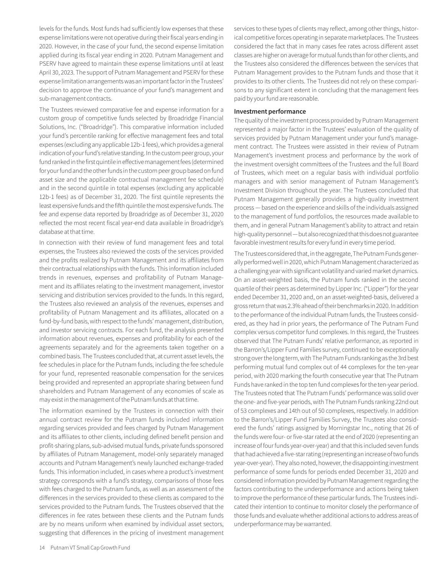levels for the funds. Most funds had sufficiently low expenses that these expense limitations were not operative during their fiscal years ending in 2020. However, in the case of your fund, the second expense limitation applied during its fiscal year ending in 2020. Putnam Management and PSERV have agreed to maintain these expense limitations until at least April 30, 2023. The support of Putnam Management and PSERV for these expense limitation arrangements was an important factor in the Trustees' decision to approve the continuance of your fund's management and sub-management contracts.

The Trustees reviewed comparative fee and expense information for a custom group of competitive funds selected by Broadridge Financial Solutions, Inc. ("Broadridge"). This comparative information included your fund's percentile ranking for effective management fees and total expenses (excluding any applicable 12b-1 fees), which provides a general indication of your fund's relative standing. In the custom peer group, your fund ranked in the first quintile in effective management fees (determined for your fund and the other funds in the custom peer group based on fund asset size and the applicable contractual management fee schedule) and in the second quintile in total expenses (excluding any applicable 12b-1 fees) as of December 31, 2020. The first quintile represents the least expensive funds and the fifth quintile the most expensive funds. The fee and expense data reported by Broadridge as of December 31, 2020 reflected the most recent fiscal year-end data available in Broadridge's database at that time.

In connection with their review of fund management fees and total expenses, the Trustees also reviewed the costs of the services provided and the profits realized by Putnam Management and its affiliates from their contractual relationships with the funds. This information included trends in revenues, expenses and profitability of Putnam Management and its affiliates relating to the investment management, investor servicing and distribution services provided to the funds. In this regard, the Trustees also reviewed an analysis of the revenues, expenses and profitability of Putnam Management and its affiliates, allocated on a fund-by-fund basis, with respect to the funds' management, distribution, and investor servicing contracts. For each fund, the analysis presented information about revenues, expenses and profitability for each of the agreements separately and for the agreements taken together on a combined basis. The Trustees concluded that, at current asset levels, the fee schedules in place for the Putnam funds, including the fee schedule for your fund, represented reasonable compensation for the services being provided and represented an appropriate sharing between fund shareholders and Putnam Management of any economies of scale as may exist in the management of the Putnam funds at that time.

The information examined by the Trustees in connection with their annual contract review for the Putnam funds included information regarding services provided and fees charged by Putnam Management and its affiliates to other clients, including defined benefit pension and profit-sharing plans, sub-advised mutual funds, private funds sponsored by affiliates of Putnam Management, model-only separately managed accounts and Putnam Management's newly launched exchange-traded funds. This information included, in cases where a product's investment strategy corresponds with a fund's strategy, comparisons of those fees with fees charged to the Putnam funds, as well as an assessment of the differences in the services provided to these clients as compared to the services provided to the Putnam funds. The Trustees observed that the differences in fee rates between these clients and the Putnam funds are by no means uniform when examined by individual asset sectors, suggesting that differences in the pricing of investment management

#### **Investment performance**

The quality of the investment process provided by Putnam Management represented a major factor in the Trustees' evaluation of the quality of services provided by Putnam Management under your fund's management contract. The Trustees were assisted in their review of Putnam Management's investment process and performance by the work of the investment oversight committees of the Trustees and the full Board of Trustees, which meet on a regular basis with individual portfolio managers and with senior management of Putnam Management's Investment Division throughout the year. The Trustees concluded that Putnam Management generally provides a high-quality investment process — based on the experience and skills of the individuals assigned to the management of fund portfolios, the resources made available to them, and in general Putnam Management's ability to attract and retain high-quality personnel — but also recognized that this does not guarantee favorable investment results for every fund in every time period.

The Trustees considered that, in the aggregate, The Putnam Funds generally performed well in 2020, which Putnam Management characterized as a challenging year with significant volatility and varied market dynamics. On an asset-weighted basis, the Putnam funds ranked in the second quartile of their peers as determined by Lipper Inc. ("Lipper") for the year ended December 31, 2020 and, on an asset-weighted-basis, delivered a gross return that was 2.3% ahead of their benchmarks in 2020. In addition to the performance of the individual Putnam funds, the Trustees considered, as they had in prior years, the performance of The Putnam Fund complex versus competitor fund complexes. In this regard, the Trustees observed that The Putnam Funds' relative performance, as reported in the Barron's/Lipper Fund Families survey, continued to be exceptionally strong over the long term, with The Putnam Funds ranking as the 3rd best performing mutual fund complex out of 44 complexes for the ten-year period, with 2020 marking the fourth consecutive year that The Putnam Funds have ranked in the top ten fund complexes for the ten-year period. The Trustees noted that The Putnam Funds' performance was solid over the one- and five-year periods, with The Putnam Funds ranking 22nd out of 53 complexes and 14th out of 50 complexes, respectively. In addition to the Barron's/Lipper Fund Families Survey, the Trustees also considered the funds' ratings assigned by Morningstar Inc., noting that 26 of the funds were four- or five-star rated at the end of 2020 (representing an increase of four funds year-over-year) and that this included seven funds that had achieved a five-star rating (representing an increase of two funds year-over-year). They also noted, however, the disappointing investment performance of some funds for periods ended December 31, 2020 and considered information provided by Putnam Management regarding the factors contributing to the underperformance and actions being taken to improve the performance of these particular funds. The Trustees indicated their intention to continue to monitor closely the performance of those funds and evaluate whether additional actions to address areas of underperformance may be warranted.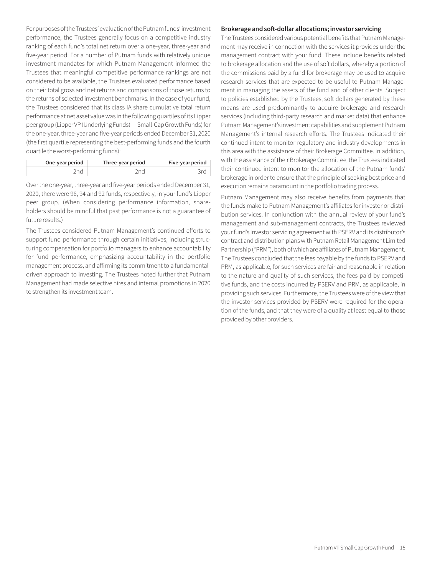For purposes of the Trustees' evaluation of the Putnam funds' investment performance, the Trustees generally focus on a competitive industry ranking of each fund's total net return over a one-year, three-year and five-year period. For a number of Putnam funds with relatively unique investment mandates for which Putnam Management informed the Trustees that meaningful competitive performance rankings are not considered to be available, the Trustees evaluated performance based on their total gross and net returns and comparisons of those returns to the returns of selected investment benchmarks. In the case of your fund, the Trustees considered that its class IA share cumulative total return performance at net asset value was in the following quartiles of its Lipper peer group (Lipper VP (Underlying Funds) — Small-Cap Growth Funds) for the one-year, three-year and five-year periods ended December 31, 2020 (the first quartile representing the best-performing funds and the fourth quartile the worst-performing funds):

| One-year period | Three-year period | Five-year period |
|-----------------|-------------------|------------------|
| nd/             | <sup>nd</sup>     | 3rd              |

Over the one-year, three-year and five-year periods ended December 31, 2020, there were 96, 94 and 92 funds, respectively, in your fund's Lipper peer group. (When considering performance information, shareholders should be mindful that past performance is not a guarantee of future results.)

The Trustees considered Putnam Management's continued efforts to support fund performance through certain initiatives, including structuring compensation for portfolio managers to enhance accountability for fund performance, emphasizing accountability in the portfolio management process, and affirming its commitment to a fundamentaldriven approach to investing. The Trustees noted further that Putnam Management had made selective hires and internal promotions in 2020 to strengthen its investment team.

#### **Brokerage and soft-dollar allocations; investor servicing**

The Trustees considered various potential benefits that Putnam Management may receive in connection with the services it provides under the management contract with your fund. These include benefits related to brokerage allocation and the use of soft dollars, whereby a portion of the commissions paid by a fund for brokerage may be used to acquire research services that are expected to be useful to Putnam Management in managing the assets of the fund and of other clients. Subject to policies established by the Trustees, soft dollars generated by these means are used predominantly to acquire brokerage and research services (including third-party research and market data) that enhance Putnam Management's investment capabilities and supplement Putnam Management's internal research efforts. The Trustees indicated their continued intent to monitor regulatory and industry developments in this area with the assistance of their Brokerage Committee. In addition, with the assistance of their Brokerage Committee, the Trustees indicated their continued intent to monitor the allocation of the Putnam funds' brokerage in order to ensure that the principle of seeking best price and execution remains paramount in the portfolio trading process.

Putnam Management may also receive benefits from payments that the funds make to Putnam Management's affiliates for investor or distribution services. In conjunction with the annual review of your fund's management and sub-management contracts, the Trustees reviewed your fund's investor servicing agreement with PSERV and its distributor's contract and distribution plans with Putnam Retail Management Limited Partnership ("PRM"), both of which are affiliates of Putnam Management. The Trustees concluded that the fees payable by the funds to PSERV and PRM, as applicable, for such services are fair and reasonable in relation to the nature and quality of such services, the fees paid by competitive funds, and the costs incurred by PSERV and PRM, as applicable, in providing such services. Furthermore, the Trustees were of the view that the investor services provided by PSERV were required for the operation of the funds, and that they were of a quality at least equal to those provided by other providers.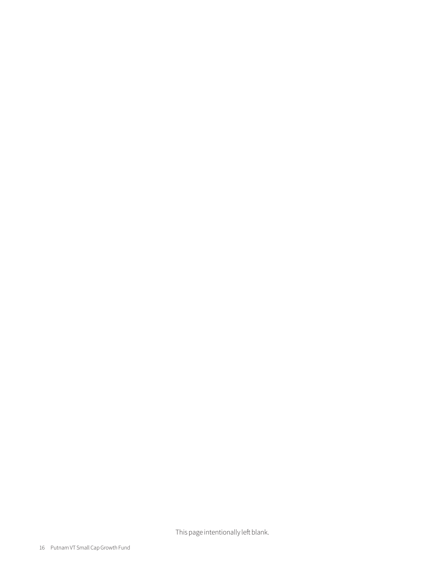This page intentionally left blank.